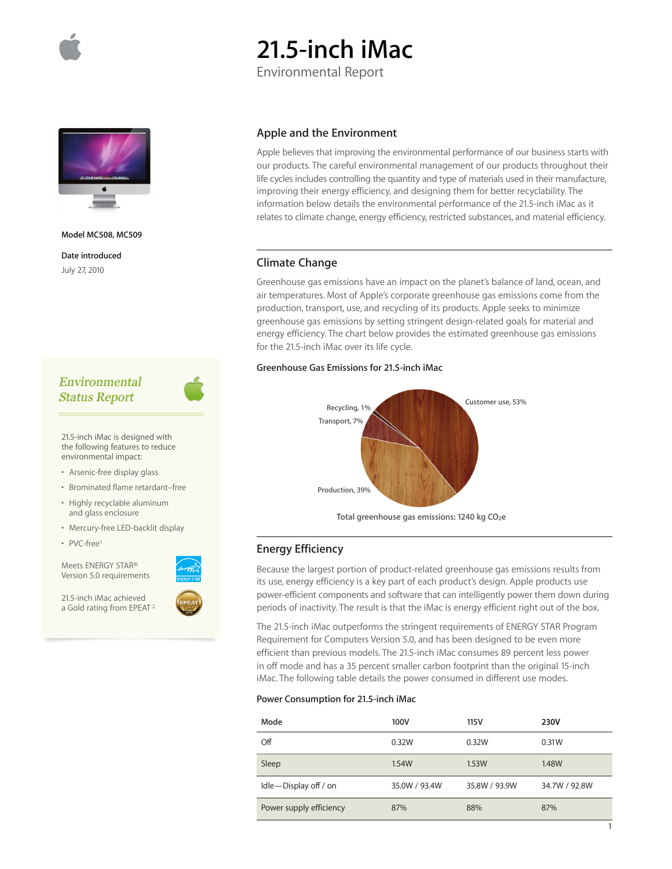

# **21.5-inch iMac**

Environmental Report



**Model MC508, MC509** 

**Date introduced** July 27, 2010

# Environmental **Status Report**

21.5-inch iMac is designed with the following features to reduce environmental impact:

- Arsenic-free display glass
- Brominated flame retardant–free
- Highly recyclable aluminum and glass enclosure
- Mercury-free LED-backlit display
- PVC-free1

Meets ENERGY STAR® Version 5.0 requirements

21.5-inch iMac achieved a Gold rating from EPEAT 2



Apple believes that improving the environmental performance of our business starts with our products. The careful environmental management of our products throughout their life cycles includes controlling the quantity and type of materials used in their manufacture, improving their energy efficiency, and designing them for better recyclability. The information below details the environmental performance of the 21.5-inch iMac as it relates to climate change, energy efficiency, restricted substances, and material efficiency.

# **Climate Change**

Greenhouse gas emissions have an impact on the planet's balance of land, ocean, and air temperatures. Most of Apple's corporate greenhouse gas emissions come from the production, transport, use, and recycling of its products. Apple seeks to minimize greenhouse gas emissions by setting stringent design-related goals for material and energy efficiency. The chart below provides the estimated greenhouse gas emissions for the 21.5-inch iMac over its life cycle.

## **Greenhouse Gas Emissions for 21.5-inch iMac**



Total greenhouse gas emissions: 1240 kg CO<sub>2</sub>e

# **Energy Efficiency**

Because the largest portion of product-related greenhouse gas emissions results from its use, energy efficiency is a key part of each product's design. Apple products use power-efficient components and software that can intelligently power them down during periods of inactivity. The result is that the iMac is energy efficient right out of the box.

The 21.5-inch iMac outperforms the stringent requirements of ENERGY STAR Program Requirement for Computers Version 5.0, and has been designed to be even more efficient than previous models. The 21.5-inch iMac consumes 89 percent less power in off mode and has a 35 percent smaller carbon footprint than the original 15-inch iMac. The following table details the power consumed in different use modes.

## **Power Consumption for 21.5-inch iMac**

| Mode                    | 100V          | 115V          | 230V          |
|-------------------------|---------------|---------------|---------------|
| Off                     | 0.32W         | 0.32W         | 0.31W         |
| Sleep                   | 1.54W         | 1.53W         | <b>1.48W</b>  |
| Idle-Display off / on   | 35.0W / 93.4W | 35.8W / 93.9W | 34.7W / 92.8W |
| Power supply efficiency | 87%           | 88%           | 87%           |

1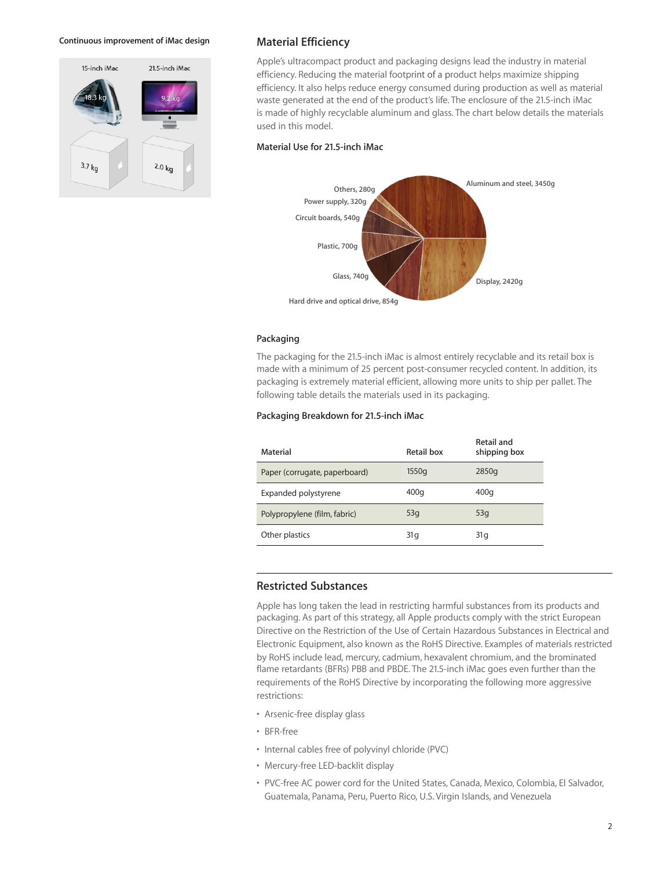#### **Continuous improvement of iMac design**



## **Material Efficiency**

Apple's ultracompact product and packaging designs lead the industry in material efficiency. Reducing the material footprint of a product helps maximize shipping efficiency. It also helps reduce energy consumed during production as well as material waste generated at the end of the product's life. The enclosure of the 21.5-inch iMac is made of highly recyclable aluminum and glass. The chart below details the materials used in this model.

#### **Material Use for 21.5-inch iMac**



## **Packaging**

The packaging for the 21.5-inch iMac is almost entirely recyclable and its retail box is made with a minimum of 25 percent post-consumer recycled content. In addition, its packaging is extremely material efficient, allowing more units to ship per pallet. The following table details the materials used in its packaging.

## **Packaging Breakdown for 21.5-inch iMac**

| Material                      | Retail box      | Retail and<br>shipping box |
|-------------------------------|-----------------|----------------------------|
| Paper (corrugate, paperboard) | 1550q           | 2850g                      |
| Expanded polystyrene          | 400q            | 400g                       |
| Polypropylene (film, fabric)  | 53q             | 53q                        |
| Other plastics                | 31 <sub>q</sub> | 31 g                       |

## **Restricted Substances**

Apple has long taken the lead in restricting harmful substances from its products and packaging. As part of this strategy, all Apple products comply with the strict European Directive on the Restriction of the Use of Certain Hazardous Substances in Electrical and Electronic Equipment, also known as the RoHS Directive. Examples of materials restricted by RoHS include lead, mercury, cadmium, hexavalent chromium, and the brominated flame retardants (BFRs) PBB and PBDE. The 21.5-inch iMac goes even further than the requirements of the RoHS Directive by incorporating the following more aggressive restrictions:

- Arsenic-free display glass
- BFR-free
- Internal cables free of polyvinyl chloride (PVC)
- Mercury-free LED-backlit display
- PVC-free AC power cord for the United States, Canada, Mexico, Colombia, El Salvador, Guatemala, Panama, Peru, Puerto Rico, U.S. Virgin Islands, and Venezuela